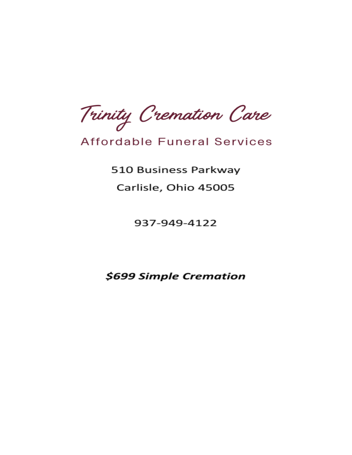Trinity Cremation Care

# **Affordable Funeral Services**

510 Business Parkway Carlisle, Ohio 45005

937-949-4122

\$699 Simple Cremation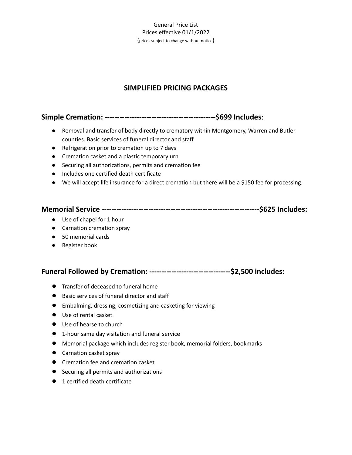## **SIMPLIFIED PRICING PACKAGES**

## **Simple Cremation: ---------------------------------------------\$699 Includes**:

- Removal and transfer of body directly to crematory within Montgomery, Warren and Butler counties. Basic services of funeral director and staff
- Refrigeration prior to cremation up to 7 days
- Cremation casket and a plastic temporary urn
- Securing all authorizations, permits and cremation fee
- Includes one certified death certificate
- We will accept life insurance for a direct cremation but there will be a \$150 fee for processing.

|--|--|

- Use of chapel for 1 hour
- Carnation cremation spray
- 50 memorial cards
- Register book

**Funeral Followed by Cremation: ---------------------------------\$2,500 includes:**

- Transfer of deceased to funeral home
- Basic services of funeral director and staff
- Embalming, dressing, cosmetizing and casketing for viewing
- Use of rental casket
- Use of hearse to church
- 1-hour same day visitation and funeral service
- Memorial package which includes register book, memorial folders, bookmarks
- Carnation casket spray
- Cremation fee and cremation casket
- Securing all permits and authorizations
- 1 certified death certificate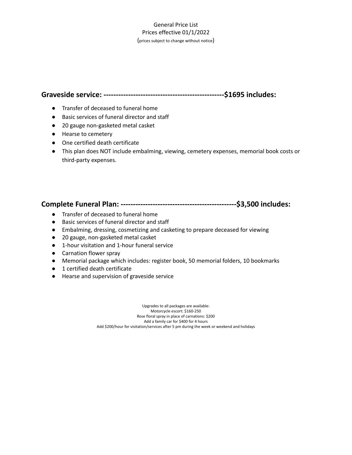### **Graveside service: -------------------------------------------------\$1695 includes:**

- Transfer of deceased to funeral home
- Basic services of funeral director and staff
- 20 gauge non-gasketed metal casket
- Hearse to cemetery
- One certified death certificate
- This plan does NOT include embalming, viewing, cemetery expenses, memorial book costs or third-party expenses.

## **Complete Funeral Plan: -----------------------------------------------\$3,500 includes:**

- Transfer of deceased to funeral home
- Basic services of funeral director and staff
- Embalming, dressing, cosmetizing and casketing to prepare deceased for viewing
- 20 gauge, non-gasketed metal casket
- 1-hour visitation and 1-hour funeral service
- Carnation flower spray
- Memorial package which includes: register book, 50 memorial folders, 10 bookmarks
- 1 certified death certificate
- Hearse and supervision of graveside service

Upgrades to all packages are available: Motorcycle escort: \$160-250 Rose floral spray in place of carnations: \$200 Add a family car for \$400 for 4 hours Add \$200/hour for visitation/services after 5 pm during the week or weekend and holidays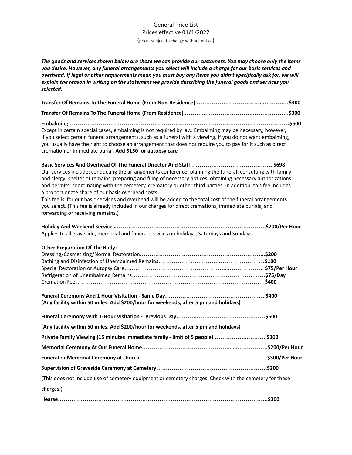The goods and services shown below are those we can provide our customers. You may choose only the items *you desire. However, any funeral arrangements you select will include a charge for our basic services and* overhead. If legal or other requirements mean you must buy any items you didn't specifically ask for, we will *explain the reason in writing on the statement we provide describing the funeral goods and services you selected.*

| Except in certain special cases, embalming is not required by law. Embalming may be necessary, however,<br>if you select certain funeral arrangements, such as a funeral with a viewing. If you do not want embalming,<br>you usually have the right to choose an arrangement that does not require you to pay for it such as direct<br>cremation or immediate burial. Add \$150 for autopsy care                                                                                                                                                                                                                                                                |  |
|------------------------------------------------------------------------------------------------------------------------------------------------------------------------------------------------------------------------------------------------------------------------------------------------------------------------------------------------------------------------------------------------------------------------------------------------------------------------------------------------------------------------------------------------------------------------------------------------------------------------------------------------------------------|--|
| Our services include: conducting the arrangements conference; planning the funeral; consulting with family<br>and clergy; shelter of remains; preparing and filing of necessary notices; obtaining necessary authorizations<br>and permits; coordinating with the cemetery, crematory or other third parties. In addition, this fee includes<br>a proportionate share of our basic overhead costs.<br>This fee is for our basic services and overhead will be added to the total cost of the funeral arrangements<br>you select. (This fee is already included in our charges for direct cremations, immediate burials, and<br>forwarding or receiving remains.) |  |
| Applies to all graveside, memorial and funeral services on holidays, Saturdays and Sundays.                                                                                                                                                                                                                                                                                                                                                                                                                                                                                                                                                                      |  |
| <b>Other Preparation Of The Body:</b>                                                                                                                                                                                                                                                                                                                                                                                                                                                                                                                                                                                                                            |  |
| (Any facility within 50 miles. Add \$200/hour for weekends, after 5 pm and holidays)                                                                                                                                                                                                                                                                                                                                                                                                                                                                                                                                                                             |  |
|                                                                                                                                                                                                                                                                                                                                                                                                                                                                                                                                                                                                                                                                  |  |
| (Any facility within 50 miles. Add \$200/hour for weekends, after 5 pm and holidays)                                                                                                                                                                                                                                                                                                                                                                                                                                                                                                                                                                             |  |
| Private Family Viewing (15 minutes immediate family - limit of 5 people) \$100                                                                                                                                                                                                                                                                                                                                                                                                                                                                                                                                                                                   |  |
|                                                                                                                                                                                                                                                                                                                                                                                                                                                                                                                                                                                                                                                                  |  |
|                                                                                                                                                                                                                                                                                                                                                                                                                                                                                                                                                                                                                                                                  |  |
|                                                                                                                                                                                                                                                                                                                                                                                                                                                                                                                                                                                                                                                                  |  |
| (This does not include use of cemetery equipment or cemetery charges. Check with the cemetery for these                                                                                                                                                                                                                                                                                                                                                                                                                                                                                                                                                          |  |
| charges.)                                                                                                                                                                                                                                                                                                                                                                                                                                                                                                                                                                                                                                                        |  |
|                                                                                                                                                                                                                                                                                                                                                                                                                                                                                                                                                                                                                                                                  |  |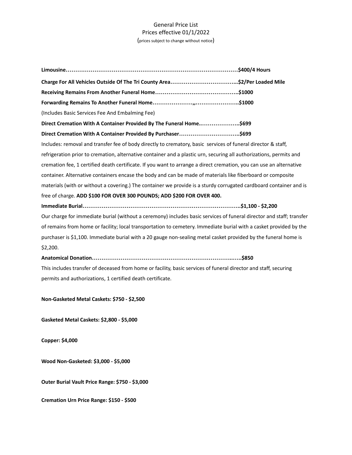**Limousine………………………………………………………………………………\$400/4 Hours Charge For All Vehicles Outside Of The Tri County Area……………………………...\$2/Per Loaded Mile Receiving Remains From Another Funeral Home……………………………………..\$1000 Forwarding Remains To Another Funeral Home…………………,,…………………..\$1000** (Includes Basic Services Fee And Embalming Fee) **Direct Cremation With A Container Provided By The Funeral Home..………………..\$699 Direct Cremation With A Container Provided By Purchaser…………………………..\$699** Includes: removal and transfer fee of body directly to crematory, basic services of funeral director & staff, refrigeration prior to cremation, alternative container and a plastic urn, securing all authorizations, permits and cremation fee, 1 certified death certificate. If you want to arrange a direct cremation, you can use an alternative container. Alternative containers encase the body and can be made of materials like fiberboard or composite materials (with or without a covering.) The container we provide is a sturdy corrugated cardboard container and is free of charge. **ADD \$100 FOR OVER 300 POUNDS; ADD \$200 FOR OVER 400. Immediate Burial………………………………………………………………………..\$1,100 - \$2,200** Our charge for immediate burial (without a ceremony) includes basic services of funeral director and staff; transfer of remains from home or facility; local transportation to cemetery. Immediate burial with a casket provided by the purchaser is \$1,100. Immediate burial with a 20 gauge non-sealing metal casket provided by the funeral home is \$2,200. **Anatomical Donation………………………………………………………………..…..\$850** This includes transfer of deceased from home or facility, basic services of funeral director and staff, securing permits and authorizations, 1 certified death certificate.

**Non-Gasketed Metal Caskets: \$750 - \$2,500**

**Gasketed Metal Caskets: \$2,800 - \$5,000**

**Copper: \$4,000**

**Wood Non-Gasketed: \$3,000 - \$5,000**

**Outer Burial Vault Price Range: \$750 - \$3,000**

**Cremation Urn Price Range: \$150 - \$500**